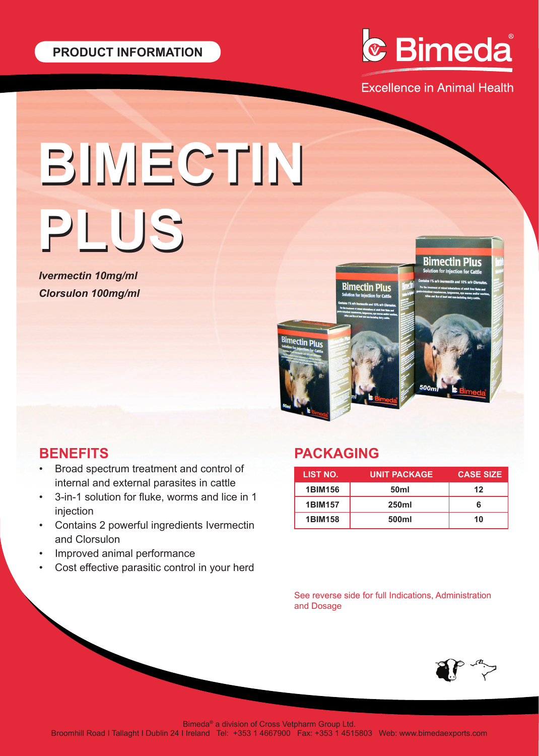

**Excellence in Animal Health** 

# **BIMECTIN BIMECTIN PLUS PLUS**

*Ivermectin 10mg/ml Clorsulon 100mg/ml*



## **BENEFITS**

- Broad spectrum treatment and control of internal and external parasites in cattle
- 3-in-1 solution for fluke, worms and lice in 1 injection
- Contains 2 powerful ingredients Ivermectin and Clorsulon
- Improved animal performance
- Cost effective parasitic control in your herd

# **PACKAGING**

| LIST NO.       | <b>UNIT PACKAGE</b> | <b>CASE SIZE</b> |
|----------------|---------------------|------------------|
| <b>1BIM156</b> | 50 <sub>ml</sub>    | 12               |
| <b>1BIM157</b> | <b>250ml</b>        | ห                |
| <b>1BIM158</b> | 500ml               | 10               |

See reverse side for full Indications, Administration and Dosage



Bimeda® a division of Cross Vetpharm Group Ltd.

Broomhill Road I Tallaght I Dublin 24 I Ireland Tel: +353 1 4667900 Fax: +353 1 4515803 Web: www.bimedaexports.com